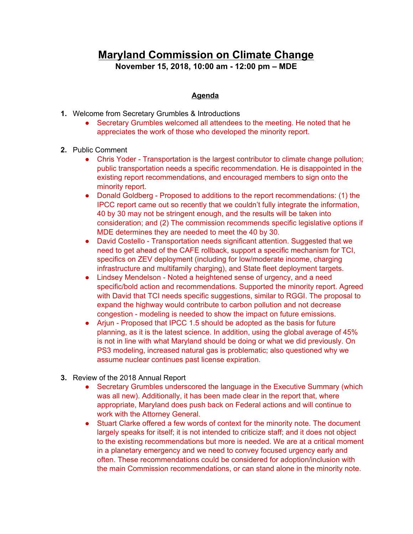## **Maryland Commission on Climate Change November 15, 2018, 10:00 am - 12:00 pm – MDE**

## **Agenda**

- **1.** Welcome from Secretary Grumbles & Introductions
	- Secretary Grumbles welcomed all attendees to the meeting. He noted that he appreciates the work of those who developed the minority report.
- **2.** Public Comment
	- Chris Yoder Transportation is the largest contributor to climate change pollution; public transportation needs a specific recommendation. He is disappointed in the existing report recommendations, and encouraged members to sign onto the minority report.
	- Donald Goldberg Proposed to additions to the report recommendations: (1) the IPCC report came out so recently that we couldn't fully integrate the information, 40 by 30 may not be stringent enough, and the results will be taken into consideration; and (2) The commission recommends specific legislative options if MDE determines they are needed to meet the 40 by 30.
	- David Costello Transportation needs significant attention. Suggested that we need to get ahead of the CAFE rollback, support a specific mechanism for TCI, specifics on ZEV deployment (including for low/moderate income, charging infrastructure and multifamily charging), and State fleet deployment targets.
	- Lindsey Mendelson Noted a heightened sense of urgency, and a need specific/bold action and recommendations. Supported the minority report. Agreed with David that TCI needs specific suggestions, similar to RGGI. The proposal to expand the highway would contribute to carbon pollution and not decrease congestion - modeling is needed to show the impact on future emissions.
	- Arjun Proposed that IPCC 1.5 should be adopted as the basis for future planning, as it is the latest science. In addition, using the global average of 45% is not in line with what Maryland should be doing or what we did previously. On PS3 modeling, increased natural gas is problematic; also questioned why we assume nuclear continues past license expiration.
- **3.** Review of the 2018 Annual Report
	- Secretary Grumbles underscored the language in the Executive Summary (which was all new). Additionally, it has been made clear in the report that, where appropriate, Maryland does push back on Federal actions and will continue to work with the Attorney General.
	- Stuart Clarke offered a few words of context for the minority note. The document largely speaks for itself; it is not intended to criticize staff; and it does not object to the existing recommendations but more is needed. We are at a critical moment in a planetary emergency and we need to convey focused urgency early and often. These recommendations could be considered for adoption/inclusion with the main Commission recommendations, or can stand alone in the minority note.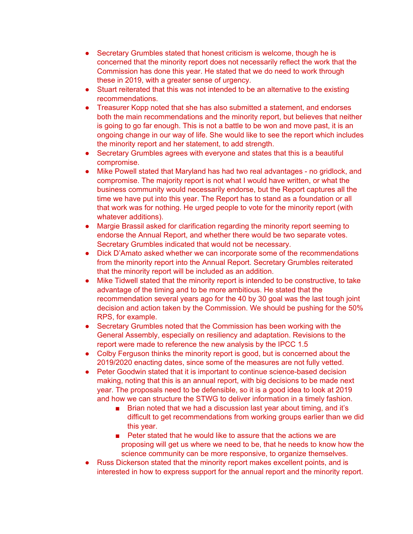- Secretary Grumbles stated that honest criticism is welcome, though he is concerned that the minority report does not necessarily reflect the work that the Commission has done this year. He stated that we do need to work through these in 2019, with a greater sense of urgency.
- Stuart reiterated that this was not intended to be an alternative to the existing recommendations.
- Treasurer Kopp noted that she has also submitted a statement, and endorses both the main recommendations and the minority report, but believes that neither is going to go far enough. This is not a battle to be won and move past, it is an ongoing change in our way of life. She would like to see the report which includes the minority report and her statement, to add strength.
- Secretary Grumbles agrees with everyone and states that this is a beautiful compromise.
- Mike Powell stated that Maryland has had two real advantages no gridlock, and compromise. The majority report is not what I would have written, or what the business community would necessarily endorse, but the Report captures all the time we have put into this year. The Report has to stand as a foundation or all that work was for nothing. He urged people to vote for the minority report (with whatever additions).
- Margie Brassil asked for clarification regarding the minority report seeming to endorse the Annual Report, and whether there would be two separate votes. Secretary Grumbles indicated that would not be necessary.
- Dick D'Amato asked whether we can incorporate some of the recommendations from the minority report into the Annual Report. Secretary Grumbles reiterated that the minority report will be included as an addition.
- Mike Tidwell stated that the minority report is intended to be constructive, to take advantage of the timing and to be more ambitious. He stated that the recommendation several years ago for the 40 by 30 goal was the last tough joint decision and action taken by the Commission. We should be pushing for the 50% RPS, for example.
- Secretary Grumbles noted that the Commission has been working with the General Assembly, especially on resiliency and adaptation. Revisions to the report were made to reference the new analysis by the IPCC 1.5
- Colby Ferguson thinks the minority report is good, but is concerned about the 2019/2020 enacting dates, since some of the measures are not fully vetted.
- Peter Goodwin stated that it is important to continue science-based decision making, noting that this is an annual report, with big decisions to be made next year. The proposals need to be defensible, so it is a good idea to look at 2019 and how we can structure the STWG to deliver information in a timely fashion.
	- Brian noted that we had a discussion last year about timing, and it's difficult to get recommendations from working groups earlier than we did this year.
	- Peter stated that he would like to assure that the actions we are proposing will get us where we need to be, that he needs to know how the science community can be more responsive, to organize themselves.
- Russ Dickerson stated that the minority report makes excellent points, and is interested in how to express support for the annual report and the minority report.